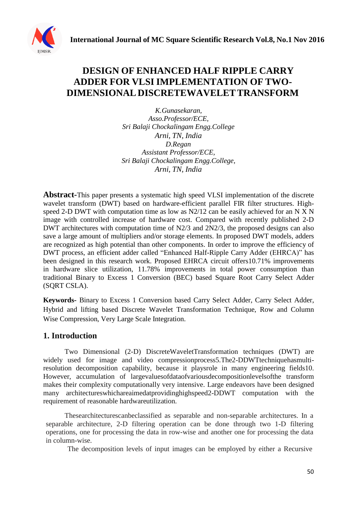

# **DESIGN OF ENHANCED HALF RIPPLE CARRY ADDER FOR VLSI IMPLEMENTATION OF TWO-DIMENSIONAL DISCRETEWAVELETTRANSFORM**

*K.Gunasekaran, Asso.Professor/ECE, Sri Balaji Chockalingam Engg.College Arni, TN, India D.Regan Assistant Professor/ECE, Sri Balaji Chockalingam Engg.College, Arni, TN, India*

**Abstract-**This paper presents a systematic high speed VLSI implementation of the discrete wavelet transform (DWT) based on hardware-efficient parallel FIR filter structures. Highspeed 2-D DWT with computation time as low as N2/12 can be easily achieved for an N X N image with controlled increase of hardware cost. Compared with recently published 2-D DWT architectures with computation time of N2/3 and 2N2/3, the proposed designs can also save a large amount of multipliers and/or storage elements. In proposed DWT models, adders are recognized as high potential than other components. In order to improve the efficiency of DWT process, an efficient adder called "Enhanced Half-Ripple Carry Adder (EHRCA)" has been designed in this research work. Proposed EHRCA circuit offers10.71% improvements in hardware slice utilization, 11.78% improvements in total power consumption than traditional Binary to Excess 1 Conversion (BEC) based Square Root Carry Select Adder (SQRT CSLA).

**Keywords-** Binary to Excess 1 Conversion based Carry Select Adder, Carry Select Adder, Hybrid and lifting based Discrete Wavelet Transformation Technique, Row and Column Wise Compression, Very Large Scale Integration.

## **1. Introduction**

Two Dimensional (2-D) DiscreteWaveletTransformation techniques (DWT) are widely used for image and video compressionprocess5. The 2-DDWTtechnique has multiresolution decomposition capability, because it playsrole in many engineering fields10. However, accumulation of largevaluesofdataofvariousdecompositionlevelsofthe transform makes their complexity computationally very intensive. Large endeavors have been designed many architectureswhichareaimedatprovidinghighspeed2-DDWT computation with the requirement of reasonable hardwareutilization.

Thesearchitecturescanbeclassified as separable and non-separable architectures. In a separable architecture, 2-D filtering operation can be done through two 1-D filtering operations, one for processing the data in row-wise and another one for processing the data in column-wise.

The decomposition levels of input images can be employed by either a Recursive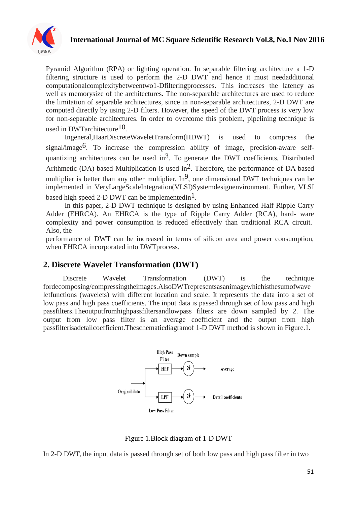

Pyramid Algorithm (RPA) or lighting operation. In separable filtering architecture a 1-D filtering structure is used to perform the 2-D DWT and hence it must needadditional computationalcomplexitybetweentwo1-Dfilteringprocesses. This increases the latency as well as memorysize of the architectures. The non-separable architectures are used to reduce the limitation of separable architectures, since in non-separable architectures, 2-D DWT are computed directly by using 2-D filters. However, the speed of the DWT process is very low for non-separable architectures. In order to overcome this problem, pipelining technique is used in DWTarchitecture<sup>10</sup>.

Ingeneral,HaarDiscreteWaveletTransform(HDWT) is used to compress the signal/image<sup>6</sup>. To increase the compression ability of image, precision-aware selfquantizing architectures can be used in<sup>3</sup>. To generate the DWT coefficients, Distributed Arithmetic (DA) based Multiplication is used in<sup>2</sup>. Therefore, the performance of DA based multiplier is better than any other multiplier.  $In^9$ , one dimensional DWT techniques can be implemented in VeryLargeScaleIntegration(VLSI)Systemdesignenvironment. Further, VLSI based high speed 2-D DWT can be implemented in<sup>1</sup>.

In this paper, 2-D DWT technique is designed by using Enhanced Half Ripple Carry Adder (EHRCA). An EHRCA is the type of Ripple Carry Adder (RCA), hard- ware complexity and power consumption is reduced effectively than traditional RCA circuit. Also, the

performance of DWT can be increased in terms of silicon area and power consumption, when EHRCA incorporated into DWTprocess.

## **2. Discrete Wavelet Transformation (DWT)**

Discrete Wavelet Transformation (DWT) is the technique fordecomposing/compressingtheimages.AlsoDWTrepresentsasanimagewhichisthesumofwave letfunctions (wavelets) with different location and scale. It represents the data into a set of low pass and high pass coefficients. The input data is passed through set of low pass and high passfilters.Theoutputfromhighpassfiltersandlowpass filters are down sampled by 2. The output from low pass filter is an average coefficient and the output from high passfilterisadetailcoefficient.Theschematicdiagramof 1-D DWT method is shown in Figure.1.



Figure 1.Block diagram of 1-D DWT

In 2-D DWT, the input data is passed through set of both low pass and high pass filter in two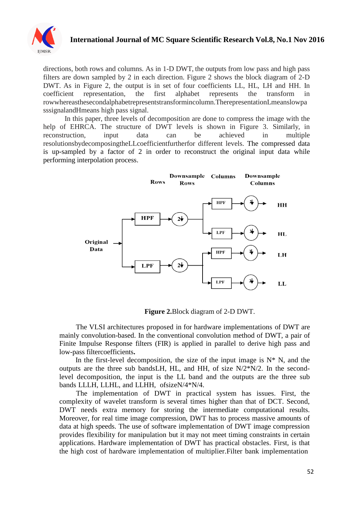

directions, both rows and columns. As in 1-D DWT, the outputs from low pass and high pass filters are down sampled by 2 in each direction. Figure 2 shows the block diagram of 2-D DWT. As in Figure 2, the output is in set of four coefficients LL, HL, LH and HH. In coefficient representation, the first alphabet represents the transform in rowwhereasthesecondalphabetrepresentstransformincolumn.TherepresentationLmeanslowpa sssignalandHmeans high pass signal.

In this paper, three levels of decomposition are done to compress the image with the help of EHRCA. The structure of DWT levels is shown in Figure 3. Similarly, in reconstruction, input data can be achieved in multiple resolutionsbydecomposingtheLLcoefficientfurtherfor different levels. The compressed data is up-sampled by a factor of 2 in order to reconstruct the original input data while performing interpolation process.



**Figure 2.**Block diagram of 2-D DWT.

The VLSI architectures proposed in for hardware implementations of DWT are mainly convolution-based. In the conventional convolution method of DWT, a pair of Finite Impulse Response filters (FIR) is applied in parallel to derive high pass and low-pass filtercoefficients**.**

In the first-level decomposition, the size of the input image is  $N^*$  N, and the outputs are the three sub bandsLH, HL, and HH, of size  $N/2*N/2$ . In the secondlevel decomposition, the input is the LL band and the outputs are the three sub bands LLLH, LLHL, and LLHH, ofsizeN/4\*N/4.

The implementation of DWT in practical system has issues. First, the complexity of wavelet transform is several times higher than that of DCT. Second, DWT needs extra memory for storing the intermediate computational results. Moreover, for real time image compression, DWT has to process massive amounts of data at high speeds. The use of software implementation of DWT image compression provides flexibility for manipulation but it may not meet timing constraints in certain applications. Hardware implementation of DWT has practical obstacles. First, is that the high cost of hardware implementation of multiplier.Filter bank implementation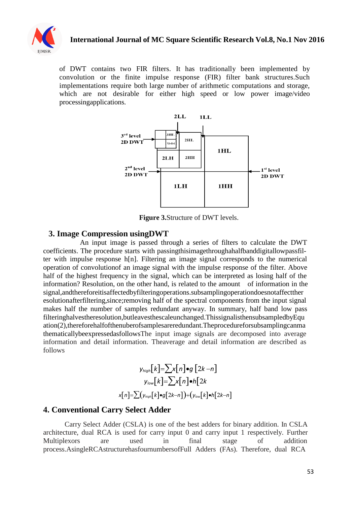

of DWT contains two FIR filters. It has traditionally been implemented by convolution or the finite impulse response (FIR) filter bank structures.Such implementations require both large number of arithmetic computations and storage, which are not desirable for either high speed or low power image/video processingapplications.



**Figure 3.**Structure of DWT levels.

#### **3. Image Compression usingDWT**

An input image is passed through a series of filters to calculate the DWT coefficients. The procedure starts with passingthisimagethroughahalfbanddigitallowpassfilter with impulse response h[n]. Filtering an image signal corresponds to the numerical operation of convolutionof an image signal with the impulse response of the filter. Above half of the highest frequency in the signal, which can be interpreted as losing half of the information? Resolution, on the other hand, is related to the amount of information in the signal,andthereforeitisaffectedbyfilteringoperations.subsamplingoperationdoesnotaffectther esolutionafterfiltering,since;removing half of the spectral components from the input signal makes half the number of samples redundant anyway. In summary, half band low pass filteringhalvestheresolution,butleavesthescaleunchanged.ThissignalisthensubsampledbyEqu ation(2),thereforehalfofthenuberofsamplesareredundant.Theprocedureforsubsamplingcanma thematicallybeexpressedasfollowsThe input image signals are decomposed into average information and detail information. Theaverage and detail information are described as follows

$$
y_{high}[k] = \sum x[n] \bullet g [2k - n]
$$

$$
y_{low}[k] = \sum x[n] \bullet h [2k
$$

$$
x[n] = \sum (y_{high}[k] \bullet g [2k - n]) + (y_{low}[k] \bullet h [2k - n]
$$

#### **4. Conventional Carry Select Adder**

Carry Select Adder (CSLA) is one of the best adders for binary addition. In CSLA architecture, dual RCA is used for carry input 0 and carry input 1 respectively. Further Multiplexors are used in final stage of addition process.AsingleRCAstructurehasfournumbersofFull Adders (FAs). Therefore, dual RCA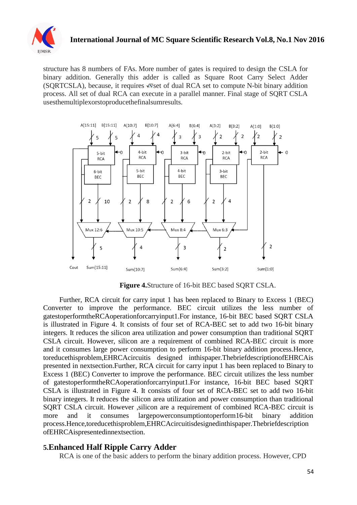

structure has 8 numbers of FAs. More number of gates is required to design the CSLA for binary addition. Generally this adder is called as Square Root Carry Select Adder (SORTCSLA), because, it requires  $\sqrt{N}$  set of dual RCA set to compute N-bit binary addition process. All set of dual RCA can execute in a parallel manner. Final stage of SQRT CSLA usesthemultiplexorstoproducethefinalsumresults.



**Figure 4.**Structure of 16-bit BEC based SQRT CSLA.

Further, RCA circuit for carry input 1 has been replaced to Binary to Excess 1 (BEC) Converter to improve the performance. BEC circuit utilizes the less number of gatestoperformtheRCAoperationforcarryinput1.For instance, 16-bit BEC based SQRT CSLA is illustrated in Figure 4. It consists of four set of RCA-BEC set to add two 16-bit binary integers. It reduces the silicon area utilization and power consumption than traditional SQRT CSLA circuit. However, silicon are a requirement of combined RCA-BEC circuit is more and it consumes large power consumption to perform 16-bit binary addition process.Hence, toreducethisproblem,EHRCAcircuitis designed inthispaper.ThebriefdescriptionofEHRCAis presented in nextsection.Further, RCA circuit for carry input 1 has been replaced to Binary to Excess 1 (BEC) Converter to improve the performance. BEC circuit utilizes the less number of gatestoperformtheRCAoperationforcarryinput1.For instance, 16-bit BEC based SQRT CSLA is illustrated in Figure 4. It consists of four set of RCA-BEC set to add two 16-bit binary integers. It reduces the silicon area utilization and power consumption than traditional SQRT CSLA circuit. However ,silicon are a requirement of combined RCA-BEC circuit is more and it consumes largepowerconsumptiontoperform16-bit binary addition process.Hence,toreducethisproblem,EHRCAcircuitisdesignedinthispaper.Thebriefdescription ofEHRCAispresentedinnextsection.

#### **5.Enhanced Half Ripple Carry Adder**

RCA is one of the basic adders to perform the binary addition process. However, CPD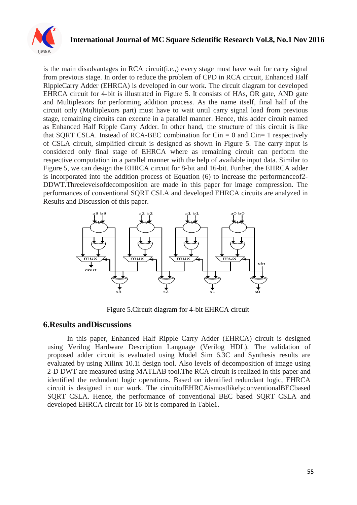

is the main disadvantages in RCA circuit(i.e.,) every stage must have wait for carry signal from previous stage. In order to reduce the problem of CPD in RCA circuit, Enhanced Half RippleCarry Adder (EHRCA) is developed in our work. The circuit diagram for developed EHRCA circuit for 4-bit is illustrated in Figure 5. It consists of HAs, OR gate, AND gate and Multiplexors for performing addition process. As the name itself, final half of the circuit only (Multiplexors part) must have to wait until carry signal load from previous stage, remaining circuits can execute in a parallel manner. Hence, this adder circuit named as Enhanced Half Ripple Carry Adder. In other hand, the structure of this circuit is like that SQRT CSLA. Instead of RCA-BEC combination for  $Cin = 0$  and  $Cin = 1$  respectively of CSLA circuit, simplified circuit is designed as shown in Figure 5. The carry input is considered only final stage of EHRCA where as remaining circuit can perform the respective computation in a parallel manner with the help of available input data. Similar to Figure 5, we can design the EHRCA circuit for 8-bit and 16-bit. Further, the EHRCA adder is incorporated into the addition process of Equation (6) to increase the performanceof2- DDWT.Threelevelsofdecomposition are made in this paper for image compression. The performances of conventional SQRT CSLA and developed EHRCA circuits are analyzed in Results and Discussion of this paper.



Figure 5.Circuit diagram for 4-bit EHRCA circuit

### **6.Results andDiscussions**

In this paper, Enhanced Half Ripple Carry Adder (EHRCA) circuit is designed using Verilog Hardware Description Language (Verilog HDL). The validation of proposed adder circuit is evaluated using Model Sim 6.3C and Synthesis results are evaluated by using Xilinx 10.1i design tool. Also levels of decomposition of image using 2-D DWT are measured using MATLAB tool.The RCA circuit is realized in this paper and identified the redundant logic operations. Based on identified redundant logic, EHRCA circuit is designed in our work. The circuitofEHRCAismostlikelyconventionalBECbased SQRT CSLA. Hence, the performance of conventional BEC based SQRT CSLA and developed EHRCA circuit for 16-bit is compared in Table1.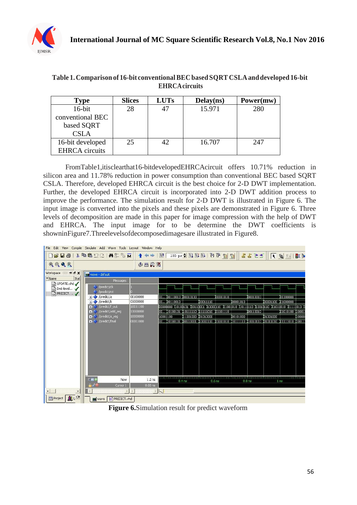

| Table 1. Comparison of 16-bit conventional BEC based SQRT CSLA and developed 16-bit |
|-------------------------------------------------------------------------------------|
| <b>EHRCA</b> circuits                                                               |

| Type                  | <b>Slices</b> | <b>LUTs</b> | Delay(ns) | Power(mw) |
|-----------------------|---------------|-------------|-----------|-----------|
| $16$ -bit             | 28            |             | 15.971    | 280       |
| conventional BEC      |               |             |           |           |
| based SQRT            |               |             |           |           |
| CSLA                  |               |             |           |           |
| 16-bit developed      | 25            | 42.         | 16.707    | 247       |
| <b>EHRCA</b> circuits |               |             |           |           |

FromTable1,itisclearthat16-bitdevelopedEHRCAcircuit offers 10.71% reduction in silicon area and 11.78% reduction in power consumption than conventional BEC based SQRT CSLA. Therefore, developed EHRCA circuit is the best choice for 2-D DWT implementation. Further, the developed EHRCA circuit is incorporated into 2-D DWT addition process to improve the performance. The simulation result for 2-D DWT is illustrated in Figure 6. The input image is converted into the pixels and these pixels are demonstrated in Figure 6. Three levels of decomposition are made in this paper for image compression with the help of DWT and EHRCA. The input image for to be determine the DWT coefficients is showninFigure7.Threelevelsofdecomposedimagesare illustrated in Figure8.



**Figure 6.**Simulation result for predict waveform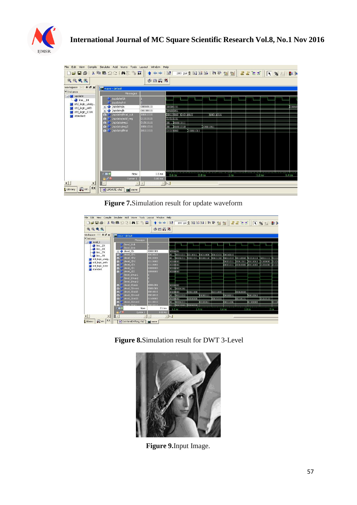

| File Edit View                                         | Compile Simulate Add Wave Tools Layout Window Help |                      |                                        |                   |           |                 |                   |               |                   |
|--------------------------------------------------------|----------------------------------------------------|----------------------|----------------------------------------|-------------------|-----------|-----------------|-------------------|---------------|-------------------|
|                                                        | <b>DEUS &amp; BBDC MEBR</b>                        |                      | < →  NF 100 ps → 미디타 B + B + B + H + + |                   |           |                 |                   | 下 马 3:   欧 34 |                   |
| $\mathbb{Q} \subset \mathbb{Q} \subset \mathbb{Q}$     |                                                    | 中山口                  |                                        |                   |           |                 |                   |               |                   |
| Workspace 2000 ± 2 x                                   | wave - default                                     |                      |                                        |                   |           |                 |                   |               |                   |
| # Instance                                             | Messages                                           |                      |                                        |                   |           |                 |                   |               |                   |
| $ \blacksquare$ update<br>$line_14$<br>std_logic_unsig | /update/clk<br>/update/rst                         |                      |                                        |                   |           |                 |                   |               |                   |
| std_logic_arith                                        | /update/a<br>国                                     | 00010111             | 00001111                               |                   |           |                 |                   |               | 100010            |
| std_logic_1164                                         | /update/b<br>$\mathbb{R}$                          | 00100011             | 00100011                               |                   |           |                 |                   |               |                   |
| standard                                               | /update/final_out<br>/update/add_reg               | 10011011<br>01111111 | 00110010 01011010<br>01011111          |                   | 110011011 |                 |                   |               |                   |
|                                                        | $+1$<br>/update/reg1<br>$+ -$                      | 01011111             | 00 01011111                            |                   |           |                 |                   |               |                   |
|                                                        | /update/reg2<br>$+ -$                              | 10011011             | 00 01011010                            |                   | 110011011 |                 |                   |               |                   |
|                                                        | /update/final<br>$+ -$                             | 10111011             | 01011010                               | 110011011         |           |                 |                   |               |                   |
|                                                        |                                                    |                      |                                        |                   |           |                 |                   |               |                   |
|                                                        |                                                    |                      |                                        |                   |           |                 |                   |               |                   |
|                                                        |                                                    |                      |                                        |                   |           |                 |                   |               |                   |
|                                                        |                                                    |                      |                                        |                   |           |                 |                   |               |                   |
|                                                        |                                                    |                      |                                        |                   |           |                 |                   |               |                   |
|                                                        |                                                    |                      |                                        |                   |           |                 |                   |               |                   |
|                                                        |                                                    |                      |                                        |                   |           |                 |                   |               |                   |
|                                                        |                                                    |                      |                                        |                   |           |                 |                   |               |                   |
|                                                        | 公司保<br>Now                                         | 1.5 <sub>ns</sub>    | 0.6 <sub>ns</sub>                      | 0.8 <sub>ns</sub> |           | 1 <sub>ns</sub> | 1.2 <sub>ns</sub> |               | 1.4 <sub>ns</sub> |
|                                                        | 6/9<br>Cursor 1                                    | 0.00 <sub>ns</sub>   |                                        |                   |           |                 |                   |               |                   |
| $\left  \cdot \right $<br>$\blacktriangleright$        |                                                    |                      | $ \nabla $                             |                   |           |                 |                   |               |                   |
| <b>R</b> sim<br>Library                                | H UPDATE.vhd<br>■ wave                             |                      |                                        |                   |           |                 |                   |               |                   |

**Figure 7.**Simulation result for update waveform

| File Edit View<br>Compile                   | Simulate Add                           | Wave Tools Layout Window Help |                       |          |                   |                                                   |                   |                              |           |                    |            |
|---------------------------------------------|----------------------------------------|-------------------------------|-----------------------|----------|-------------------|---------------------------------------------------|-------------------|------------------------------|-----------|--------------------|------------|
| $\Box \in \blacksquare \oplus \blacksquare$ | $X$ to the second $M \approx 1$ of $M$ | ↑◆→ 国                         |                       |          |                   | 100 ps - 且国国  60 m m m 国 出 上 土 一 下 向 三 郎 3        |                   |                              |           |                    |            |
| $\mathbf{Q} \in \mathbf{Q} \mathbf{Q}$      |                                        | 多出具图                          |                       |          |                   |                                                   |                   |                              |           |                    |            |
| Workspace 2009 ± 2 x                        | wave - default                         |                               |                       |          |                   |                                                   |                   |                              |           |                    |            |
| Instance                                    | Messages                               |                               |                       |          |                   |                                                   |                   |                              |           |                    |            |
| $ \blacksquare$ level 3<br>line 23          | <b>/level 3/ck</b><br>/level_3/rst     |                               |                       |          |                   |                                                   |                   |                              |           |                    |            |
| $\bullet$ line 60<br>$\bullet$ line 79      | /level_3/s                             | 00001001                      | 00001001              |          |                   |                                                   |                   |                              |           |                    |            |
| line 98                                     | /level_3/h1<br>H.                      | 00010010                      | 00100011011 100110111 |          |                   | 101011000 100110101 100010010                     |                   |                              |           |                    |            |
| std_logic_unsig                             | /level 3/h2<br><b>B</b>                | 00110101                      | 00 00001011 00011011  |          |                   | 100101110 100111110 100111010 100110010 101011111 |                   |                              |           | <b>MODERN 0166</b> |            |
| std_logic_arith                             | /level 3/h3<br>Ŧ.                      | 01110000                      | 00000000              |          |                   |                                                   |                   | 00001011 100011011 100111011 |           | 101100000 101101   |            |
| std_logic_1164                              | /level_3/13<br>Ŧ.                      | 01110000                      | 00000000              |          |                   |                                                   |                   |                              |           |                    |            |
| standard                                    | /level 3/11<br>$\overline{1}$          | 00000000                      | 00000000              |          |                   |                                                   |                   |                              |           |                    |            |
|                                             | $ $ [level_3/l2]<br>$+1$               | 00000000                      | 00000000              |          |                   |                                                   |                   |                              |           |                    |            |
|                                             | /level_3/mux1<br>/level 3/mux2         |                               |                       |          |                   |                                                   |                   |                              |           |                    |            |
|                                             | /level 3/mux3                          |                               |                       |          |                   |                                                   |                   |                              |           |                    |            |
|                                             | /level 3/odd1<br>F.                    | 00001001                      | 00001001              |          |                   |                                                   |                   |                              |           |                    |            |
|                                             | /level 3/event<br>45                   | 00001001                      | 00100001001           |          |                   |                                                   |                   |                              |           |                    |            |
|                                             | /level 3/odd2<br>÷.                    | 00010010                      | 00100000              | 00011000 |                   | 101011000                                         |                   | 100010010                    |           |                    |            |
|                                             | <b>Nevel 3/even2</b>                   | 00010010                      | 00 00011010           |          | 01000111          |                                                   | 00100011          |                              | 00010010  |                    |            |
|                                             | /level 3/odd3                          | 01100000                      | 00000000              | 00010000 |                   | 00110101                                          |                   | 00110111                     |           | 01110110           |            |
|                                             | /level 3/even3<br>$+1$                 | 01110010                      | 00100001011           |          | 00101011          |                                                   | 00111001          |                              | 01100000  |                    | <b>OHK</b> |
|                                             | <b>Hoval Rinett</b><br>m               | 00010010                      | <del>.</del>          |          |                   |                                                   |                   |                              |           |                    |            |
|                                             | $-809$<br>Now.                         | $2.1$ ns                      | 1.2 <sub>ns</sub>     |          | 1.4 <sub>ns</sub> |                                                   | 1.6 <sub>ns</sub> |                              | $1.8$ ris |                    | $2$ ns     |
|                                             | 670<br>Cursor (                        | $0.00$ ns                     |                       |          |                   |                                                   |                   |                              |           |                    |            |
| $\blacktriangleright$                       | $\vert$ 4                              |                               | <b>NV</b>             |          |                   |                                                   |                   |                              |           |                    |            |
| Library & sim 1                             | HT Dwt-level3-lifting.vhd              | <b>EM</b> wave                |                       |          |                   |                                                   |                   |                              |           |                    |            |

**Figure 8.**Simulation result for DWT 3-Level



**Figure 9.**Input Image.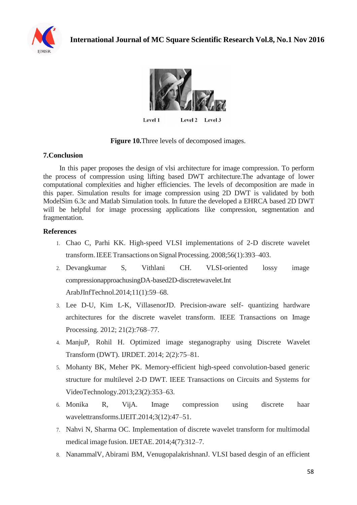



Level 1 Level 2 Level 3

#### **Figure 10.**Three levels of decomposed images.

#### **7.Conclusion**

In this paper proposes the design of vlsi architecture for image compression. To perform the process of compression using lifting based DWT architecture.The advantage of lower computational complexities and higher efficiencies. The levels of decomposition are made in this paper. Simulation results for image compression using 2D DWT is validated by both ModelSim 6.3c and Matlab Simulation tools. In future the developed a EHRCA based 2D DWT will be helpful for image processing applications like compression, segmentation and fragmentation.

#### **References**

- 1. Chao C, Parhi KK. High-speed VLSI implementations of 2-D discrete wavelet transform. IEEE Transactions on Signal Processing. 2008;56(1):393-403.
- 2. Devangkumar S, Vithlani CH. VLSI-oriented lossy image compressionapproachusingDA-based2D-discretewavelet.Int ArabJInfTechnol.2014;11(1):59–68.
- 3. Lee D-U, Kim L-K, VillasenorJD. Precision-aware self- quantizing hardware architectures for the discrete wavelet transform. IEEE Transactions on Image Processing. 2012; 21(2):768–77.
- 4. ManjuP, Rohil H. Optimized image steganography using Discrete Wavelet Transform (DWT). IJRDET. 2014; 2(2):75–81.
- 5. Mohanty BK, Meher PK. Memory-efficient high-speed convolution-based generic structure for multilevel 2-D DWT. IEEE Transactions on Circuits and Systems for VideoTechnology.2013;23(2):353–63.
- 6. Monika R, VijA. Image compression using discrete haar wavelettransforms.IJEIT.2014;3(12):47–51.
- 7. Nahvi N, Sharma OC. Implementation of discrete wavelet transform for multimodal medical image fusion. IJETAE. 2014;4(7):312–7.
- 8. NanammalV, Abirami BM, VenugopalakrishnanJ. VLSI based desgin of an efficient